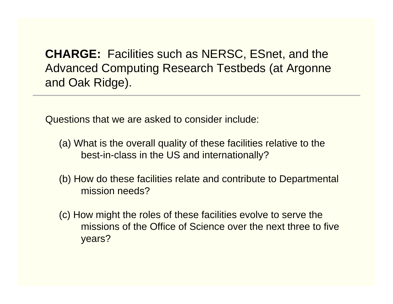**CHARGE:** Facilities such as NERSC, ESnet, and the Advanced Computing Research Testbeds (at Argonne and Oak Ridge).

Questions that we are asked to consider include:

- (a) What is the overall quality of these facilities relative to the best-in-class in the US and internationally?
- (b) How do these facilities relate and contribute to Departmental mission needs?
- (c) How might the roles of these facilities evolve to serve the missions of the Office of Science over the next three to five years?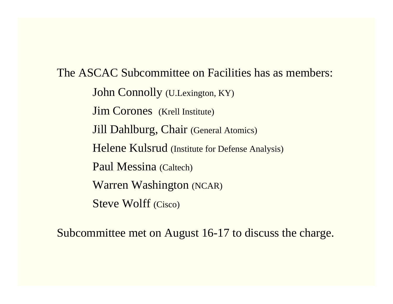The ASCAC Subcommittee on Facilities has as members: John Connolly (U.Lexington, KY) Jim Corones (Krell Institute) Jill Dahlburg, Chair (General Atomics) Helene Kulsrud (Institute for Defense Analysis) Paul Messina (Caltech) Warren Washington (NCAR) Steve Wolff (Cisco)

Subcommittee met on August 16-17 to discuss the charge.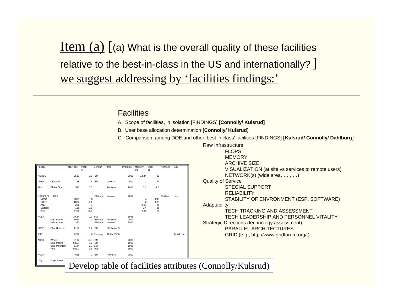Item  $(a)$   $(a)$  What is the overall quality of these facilities relative to the best-in-class in the US and internationally? ] we suggest addressing by 'facilities findings:'

#### **Facilities**

- A. Scope of facilities, in isolation [FINDINGS] **[Connolly/ Kulsrud]**
- B. User base allocation determination **[Connolly/ Kulsrud]**
- C. Comparison among DOE and other 'best in class' facilities [FINDINGS] **[Kulsrud/ Connolly/ Dahlburg]**

| Facility                                                        |                                                             | No. Proc                           | Peak<br>TF                   | Vendor                                      | chip               | available                    | Memory<br>TB                               | <b>Disk</b><br>tb             | Network | O/S        |
|-----------------------------------------------------------------|-------------------------------------------------------------|------------------------------------|------------------------------|---------------------------------------------|--------------------|------------------------------|--------------------------------------------|-------------------------------|---------|------------|
| <b>NERSC</b>                                                    |                                                             | 2528                               |                              | 3.8 IBM                                     |                    | 2001                         | 1.824                                      | 20                            |         |            |
| ORNL                                                            | Cheetah                                                     | 768                                |                              | 4 IBM                                       | power 4            | 2001                         | 1                                          | 24                            |         |            |
| <b>ANL</b>                                                      | Chiba City                                                  | 512                                | 0.5                          |                                             | Pentium            | 2001                         | 0.1                                        | 2.3                           |         |            |
| <b>NSF/PACI</b><br>-NCSA<br>-SDSC<br>-ANL<br>-Caltech<br>-total | <b>DTF</b>                                                  | 2000<br>1024<br>256<br>128<br>3408 | 8<br>4.1<br>1<br>0.5<br>13.6 | IBM/Intel                                   | Itanium            | 2002                         | 4<br>$\overline{2}$<br>0.25<br>0.4<br>6.65 | 240<br>225<br>25<br>86<br>776 | 40 Gb/s | Linux      |
| <b>NCSA</b>                                                     | IA32 cluster<br>IA64 cluster                                | 10.24<br>1024<br>320               |                              | 0.3 SGI<br>1 IBM/Intel<br>IBM/Intel         | Pentium<br>Itanium | 1998<br>2001<br>2001         |                                            |                               |         |            |
| <b>SDSC</b>                                                     | <b>Blue Horizon</b>                                         | 1152                               |                              | 1.7 IBM                                     | SP Power 3         |                              |                                            |                               |         |            |
| <b>PSC</b>                                                      |                                                             | 2782                               |                              | 6 Compaq                                    | Alpha EV68         |                              |                                            |                               |         | Tru64 Unix |
| <b>ASCII</b>                                                    | White<br><b>Blue Pacific</b><br><b>Blue Mountain</b><br>Red | 8192<br>580.8<br>6144<br>963.2     |                              | 12.3 IBM<br>3.2 IBM<br>3.7 SGI<br>1.8 Intel |                    | 2000<br>1999<br>1998<br>1999 |                                            |                               |         |            |
| <b>NCAR</b>                                                     |                                                             | 668                                |                              | 1 IBM                                       | Power <sub>3</sub> | 2000                         |                                            |                               |         |            |
| UKy                                                             | superdome                                                   |                                    |                              |                                             |                    |                              |                                            |                               |         |            |



 $\frac{U(X) \cdot \frac{U(X)}{U(X)}}{U(X)}$  Develop table of facilities attributes (Connolly/Kulsrud)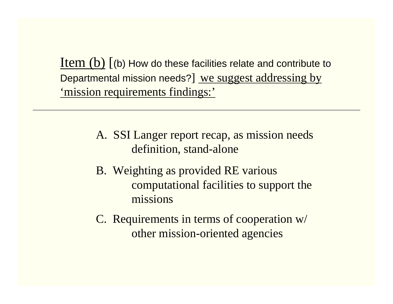Item  $(b)$   $\lceil (b) \rceil$  How do these facilities relate and contribute to Departmental mission needs?] we suggest addressing by 'mission requirements findings:'

- A. SSI Langer report recap, as mission needs definition, stand-alone
- B. Weighting as provided RE various computational facilities to support the missions
- C. Requirements in terms of cooperation w/ other mission-oriented agencies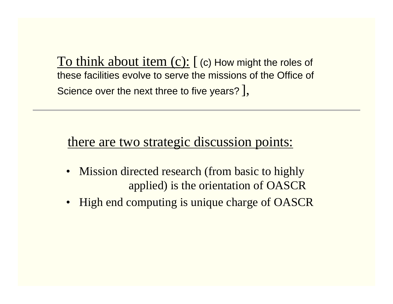To think about item (c): [ (c) How might the roles of these facilities evolve to serve the missions of the Office of Science over the next three to five years? ,

## there are two strategic discussion points:

- • Mission directed research (from basic to highly applied) is the orientation of OASCR
- •High end computing is unique charge of OASCR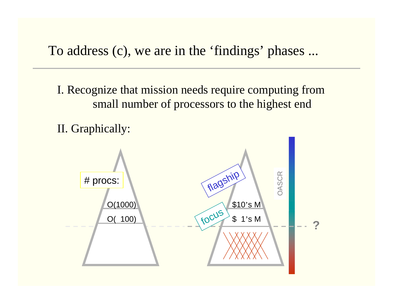To address (c), we are in the 'findings' phases ...

- I. Recognize that mission needs require computing from small number of processors to the highest end
- II. Graphically:

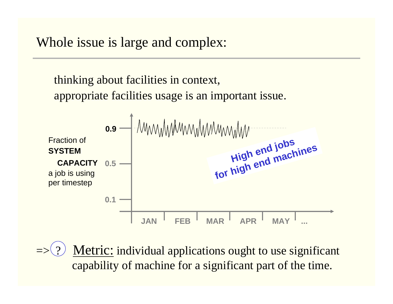Whole issue is large and complex:

thinking about facilities in context, appropriate facilities usage is an important issue.



Metric: individual applications ought to use significant capability of machine for a significant part of the time.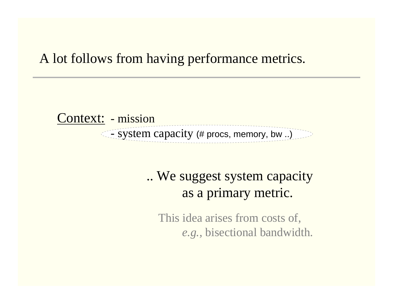# A lot follows from having performance metrics.

Context: - mission system capacity (# procs, memory, bw ..)

> .. We suggest system capacity as a primary metric.

This idea arises from costs of, *e.g.,* bisectional bandwidth.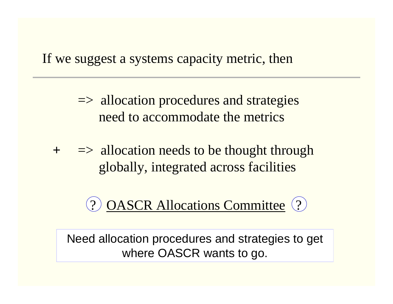If we suggest a systems capacity metric, then

 $\Rightarrow$  allocation procedures and strategies need to accommodate the metrics

**+** => allocation needs to be thought through globally, integrated across facilities

?) OASCR Allocations Committee (?

Need allocation procedures and strategies to get where OASCR wants to go.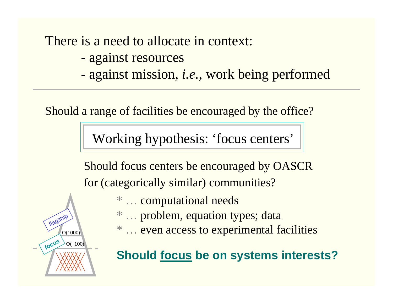# There is a need to allocate in context:

- against resources
- against mission, *i.e.,* work being performed

Should a range of facilities be encouraged by the office?

Working hypothesis: 'focus centers'

Should focus centers be encouraged by OASCR for (categorically similar) communities?

- \* … computational needs
- \* … problem, equation types; data
- \* … even access to experimental facilities



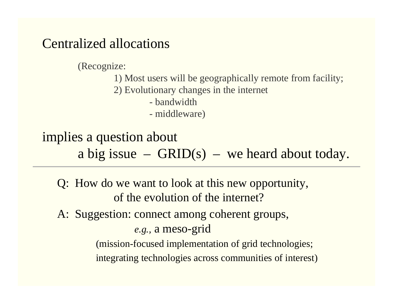# Centralized allocations

(Recognize:

1) Most users will be geographically remote from facility;

- 2) Evolutionary changes in the internet
	- bandwidth
	- middleware)

# implies a question about a big issue  $-$  GRID(s)  $-$  we heard about today.

- Q: How do we want to look at this new opportunity, of the evolution of the internet?
- A: Suggestion: connect among coherent groups, *e.g.,* a meso-grid

(mission-focused implementation of grid technologies; integrating technologies across communities of interest)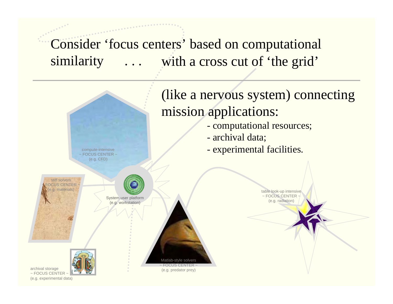Consider 'focus centers' based on computational similarity ... with a cross cut of 'the grid'